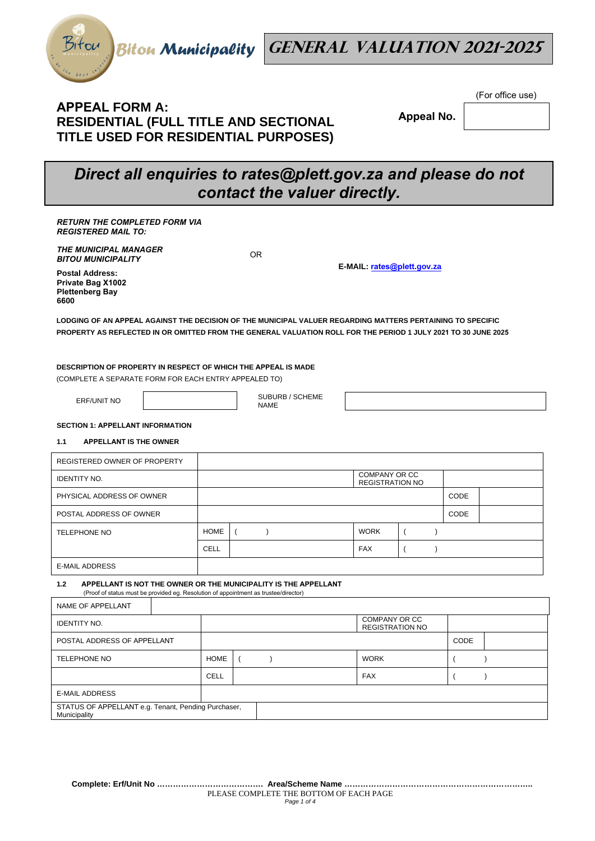



## **APPEAL FORM A: RESIDENTIAL (FULL TITLE AND SECTIONAL TITLE USED FOR RESIDENTIAL PURPOSES)**

 **Appeal No.** 

(For office use)

# *Direct all enquiries to rates@plett.gov.za and please do not contact the valuer directly.*

| <b>RETURN THE COMPLETED FORM VIA</b><br><b>REGISTERED MAIL TO:</b>                                                                                             |             |                                |                                                |                       |      |  |
|----------------------------------------------------------------------------------------------------------------------------------------------------------------|-------------|--------------------------------|------------------------------------------------|-----------------------|------|--|
| <b>THE MUNICIPAL MANAGER</b><br><b>BITOU MUNICIPALITY</b>                                                                                                      |             | <b>OR</b>                      |                                                |                       |      |  |
| <b>Postal Address:</b><br>Private Bag X1002<br><b>Plettenberg Bay</b><br>6600                                                                                  |             |                                | E-MAIL: rates@plett.gov.za                     |                       |      |  |
| LODGING OF AN APPEAL AGAINST THE DECISION OF THE MUNICIPAL VALUER REGARDING MATTERS PERTAINING TO SPECIFIC                                                     |             |                                |                                                |                       |      |  |
| PROPERTY AS REFLECTED IN OR OMITTED FROM THE GENERAL VALUATION ROLL FOR THE PERIOD 1 JULY 2021 TO 30 JUNE 2025                                                 |             |                                |                                                |                       |      |  |
| DESCRIPTION OF PROPERTY IN RESPECT OF WHICH THE APPEAL IS MADE<br>(COMPLETE A SEPARATE FORM FOR EACH ENTRY APPEALED TO)<br><b>ERF/UNIT NO</b>                  |             | SUBURB / SCHEME<br><b>NAME</b> |                                                |                       |      |  |
| <b>SECTION 1: APPELLANT INFORMATION</b>                                                                                                                        |             |                                |                                                |                       |      |  |
| <b>APPELLANT IS THE OWNER</b><br>1.1                                                                                                                           |             |                                |                                                |                       |      |  |
| REGISTERED OWNER OF PROPERTY                                                                                                                                   |             |                                |                                                |                       |      |  |
| <b>IDENTITY NO.</b>                                                                                                                                            |             |                                | <b>COMPANY OR CC</b><br><b>REGISTRATION NO</b> |                       |      |  |
| PHYSICAL ADDRESS OF OWNER                                                                                                                                      |             |                                |                                                |                       | CODE |  |
| POSTAL ADDRESS OF OWNER                                                                                                                                        |             |                                |                                                |                       | CODE |  |
| <b>TELEPHONE NO</b>                                                                                                                                            | <b>HOME</b> | $\lambda$<br>$\left($          | <b>WORK</b>                                    | $\lambda$<br>$\left($ |      |  |
|                                                                                                                                                                | <b>CELL</b> |                                | <b>FAX</b>                                     | $\left($<br>$\lambda$ |      |  |
| <b>E-MAIL ADDRESS</b>                                                                                                                                          |             |                                |                                                |                       |      |  |
| APPELLANT IS NOT THE OWNER OR THE MUNICIPALITY IS THE APPELLANT<br>1.2<br>(Proof of status must be provided eg. Resolution of appointment as trustee/director) |             |                                |                                                |                       |      |  |
| NAME OF APPELLANT                                                                                                                                              |             |                                |                                                |                       |      |  |
| <b>IDENTITY NO.</b>                                                                                                                                            |             |                                | COMPANY OR CC<br><b>REGISTRATION NO</b>        |                       |      |  |

POSTAL ADDRESS OF APPELLANT CODE

E-MAIL ADDRESS

Municipality

STATUS OF APPELLANT e.g. Tenant, Pending Purchaser,

TELEPHONE NO **HOME**  $($  ) WORK  $($  ( )

CELL FAX ( )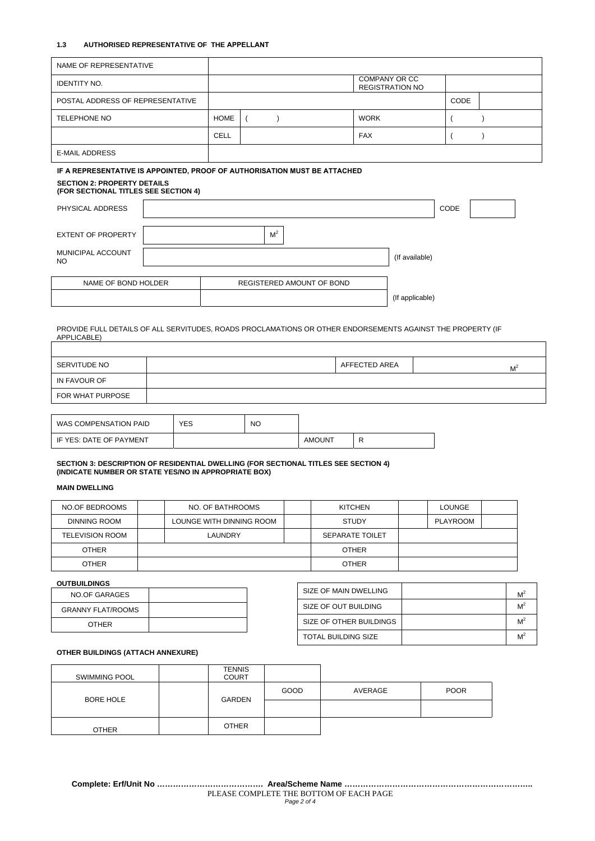#### **1.3 AUTHORISED REPRESENTATIVE OF THE APPELLANT**

 $\mathsf{T}$ 

| NAME OF REPRESENTATIVE                                                                                     |  |                                                |  |                |                           |             |                 |      |  |
|------------------------------------------------------------------------------------------------------------|--|------------------------------------------------|--|----------------|---------------------------|-------------|-----------------|------|--|
| <b>IDENTITY NO.</b>                                                                                        |  | <b>COMPANY OR CC</b><br><b>REGISTRATION NO</b> |  |                |                           |             |                 |      |  |
| POSTAL ADDRESS OF REPRESENTATIVE                                                                           |  |                                                |  |                |                           |             |                 | CODE |  |
| <b>TELEPHONE NO</b>                                                                                        |  | <b>HOME</b>                                    |  |                |                           | <b>WORK</b> |                 |      |  |
|                                                                                                            |  | <b>CELL</b>                                    |  |                |                           | <b>FAX</b>  |                 |      |  |
| <b>E-MAIL ADDRESS</b>                                                                                      |  |                                                |  |                |                           |             |                 |      |  |
| IF A REPRESENTATIVE IS APPOINTED, PROOF OF AUTHORISATION MUST BE ATTACHED                                  |  |                                                |  |                |                           |             |                 |      |  |
| <b>SECTION 2: PROPERTY DETAILS</b><br>(FOR SECTIONAL TITLES SEE SECTION 4)                                 |  |                                                |  |                |                           |             |                 |      |  |
| PHYSICAL ADDRESS                                                                                           |  |                                                |  |                |                           |             |                 | CODE |  |
| <b>EXTENT OF PROPERTY</b>                                                                                  |  |                                                |  | M <sup>2</sup> |                           |             |                 |      |  |
| MUNICIPAL ACCOUNT<br>NO.                                                                                   |  |                                                |  |                |                           |             | (If available)  |      |  |
| NAME OF BOND HOLDER                                                                                        |  |                                                |  |                | REGISTERED AMOUNT OF BOND |             |                 |      |  |
|                                                                                                            |  |                                                |  |                |                           |             | (If applicable) |      |  |
| PROVIDE FULL DETAILS OF ALL SERVITUDES, ROADS PROCLAMATIONS OR OTHER ENDORSEMENTS AGAINST THE PROPERTY (IF |  |                                                |  |                |                           |             |                 |      |  |

APPLICABLE)

 $\overline{1}$ 

| SERVITUDE NO     | AFFECTED AREA | M |
|------------------|---------------|---|
| IN FAVOUR OF     |               |   |
| FOR WHAT PURPOSE |               |   |
|                  |               |   |

| WAS COMPENSATION PAID     | YES | <b>NO</b> |               |  |
|---------------------------|-----|-----------|---------------|--|
| L IF YES: DATE OF PAYMENT |     |           | <b>AMOUNT</b> |  |

#### **SECTION 3: DESCRIPTION OF RESIDENTIAL DWELLING (FOR SECTIONAL TITLES SEE SECTION 4) (INDICATE NUMBER OR STATE YES/NO IN APPROPRIATE BOX)**

## **MAIN DWELLING**

| NO.OF BEDROOMS  | NO. OF BATHROOMS         |  | <b>KITCHEN</b> | LOUNGE          |  |
|-----------------|--------------------------|--|----------------|-----------------|--|
| DINNING ROOM    | LOUNGE WITH DINNING ROOM |  | <b>STUDY</b>   | <b>PLAYROOM</b> |  |
| TELEVISION ROOM | LAUNDRY                  |  |                |                 |  |
| <b>OTHER</b>    |                          |  |                |                 |  |
| <b>OTHER</b>    |                          |  | <b>OTHER</b>   |                 |  |

## **OUTBUILDINGS**

| <b>NO.OF GARAGES</b>     |  |
|--------------------------|--|
| <b>GRANNY FLAT/ROOMS</b> |  |
| <b>OTHER</b>             |  |

| SIZE OF MAIN DWELLING      | $M^2$ |
|----------------------------|-------|
| SIZE OF OUT BUILDING       | $M^2$ |
| SIZE OF OTHER BUILDINGS    | $M^2$ |
| <b>TOTAL BUILDING SIZE</b> | $M^2$ |

٦

## **OTHER BUILDINGS (ATTACH ANNEXURE)**

| SWIMMING POOL    | <b>TENNIS</b><br><b>COURT</b> |      |         |             |
|------------------|-------------------------------|------|---------|-------------|
| <b>BORE HOLE</b> | <b>GARDEN</b>                 | GOOD | AVERAGE | <b>POOR</b> |
|                  |                               |      |         |             |
| <b>OTHER</b>     | <b>OTHER</b>                  |      |         |             |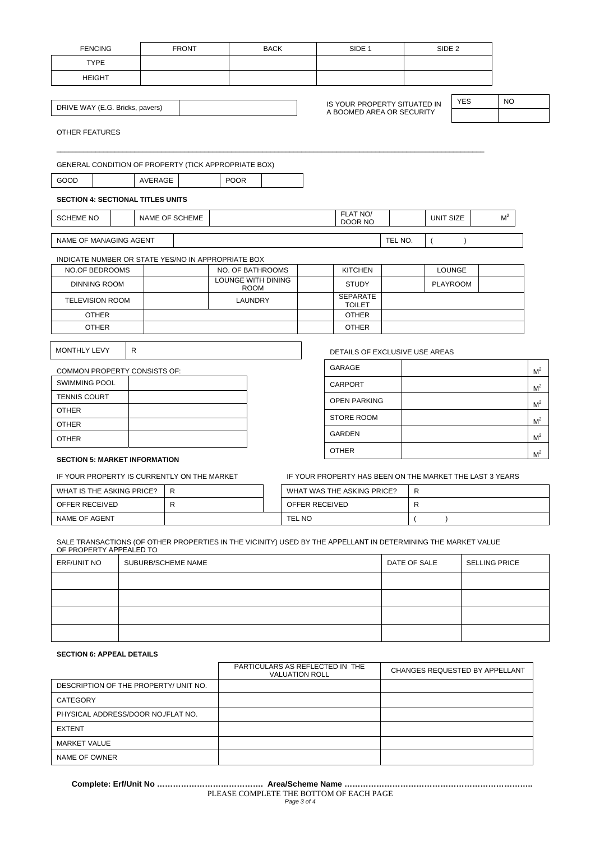| <b>FENCING</b>                                                                                          |   |                | <b>FRONT</b> |             | <b>BACK</b>                       |  | SIDE <sub>1</sub>                                         |         | SIDE <sub>2</sub> |            |                |           |                |
|---------------------------------------------------------------------------------------------------------|---|----------------|--------------|-------------|-----------------------------------|--|-----------------------------------------------------------|---------|-------------------|------------|----------------|-----------|----------------|
| <b>TYPE</b>                                                                                             |   |                |              |             |                                   |  |                                                           |         |                   |            |                |           |                |
| <b>HEIGHT</b>                                                                                           |   |                |              |             |                                   |  |                                                           |         |                   |            |                |           |                |
|                                                                                                         |   |                |              |             |                                   |  |                                                           |         |                   |            |                |           |                |
| DRIVE WAY (E.G. Bricks, pavers)                                                                         |   |                |              |             |                                   |  | IS YOUR PROPERTY SITUATED IN<br>A BOOMED AREA OR SECURITY |         |                   | <b>YES</b> |                | <b>NO</b> |                |
| OTHER FEATURES                                                                                          |   |                |              |             |                                   |  |                                                           |         |                   |            |                |           |                |
| <b>GENERAL CONDITION OF PROPERTY (TICK APPROPRIATE BOX)</b>                                             |   |                |              |             |                                   |  |                                                           |         |                   |            |                |           |                |
| GOOD                                                                                                    |   | <b>AVERAGE</b> |              | <b>POOR</b> |                                   |  |                                                           |         |                   |            |                |           |                |
| <b>SECTION 4: SECTIONAL TITLES UNITS</b>                                                                |   |                |              |             |                                   |  |                                                           |         |                   |            |                |           |                |
| <b>SCHEME NO</b>                                                                                        |   | NAME OF SCHEME |              |             |                                   |  | FLAT NO/<br>DOOR NO                                       |         | <b>UNIT SIZE</b>  |            | M <sup>2</sup> |           |                |
| NAME OF MANAGING AGENT                                                                                  |   |                |              |             |                                   |  |                                                           | TEL NO. | $\overline{ }$    |            |                |           |                |
| INDICATE NUMBER OR STATE YES/NO IN APPROPRIATE BOX                                                      |   |                |              |             |                                   |  |                                                           |         |                   |            |                |           |                |
| <b>NO.OF BEDROOMS</b>                                                                                   |   |                |              |             | NO. OF BATHROOMS                  |  | <b>KITCHEN</b>                                            |         | <b>LOUNGE</b>     |            |                |           |                |
| <b>DINNING ROOM</b>                                                                                     |   |                |              |             | LOUNGE WITH DINING<br><b>ROOM</b> |  | <b>STUDY</b>                                              |         | <b>PLAYROOM</b>   |            |                |           |                |
| <b>TELEVISION ROOM</b>                                                                                  |   |                |              |             | LAUNDRY                           |  | <b>SEPARATE</b><br><b>TOILET</b>                          |         |                   |            |                |           |                |
| <b>OTHER</b>                                                                                            |   |                |              |             |                                   |  | <b>OTHER</b>                                              |         |                   |            |                |           |                |
| <b>OTHER</b>                                                                                            |   |                |              |             |                                   |  | <b>OTHER</b>                                              |         |                   |            |                |           |                |
| <b>MONTHLY LEVY</b>                                                                                     | R |                |              |             |                                   |  | DETAILS OF EXCLUSIVE USE AREAS                            |         |                   |            |                |           |                |
| COMMON PROPERTY CONSISTS OF:                                                                            |   |                |              |             |                                   |  | <b>GARAGE</b>                                             |         |                   |            |                |           | M <sup>2</sup> |
| <b>SWIMMING POOL</b>                                                                                    |   |                |              |             |                                   |  | <b>CARPORT</b>                                            |         |                   |            |                |           | M <sup>2</sup> |
| <b>TENNIS COURT</b>                                                                                     |   |                |              |             |                                   |  | <b>OPEN PARKING</b>                                       |         |                   |            |                |           |                |
| <b>OTHER</b>                                                                                            |   |                |              |             |                                   |  |                                                           |         |                   |            |                |           | M <sup>2</sup> |
| <b>OTHER</b>                                                                                            |   |                |              |             |                                   |  | <b>STORE ROOM</b>                                         |         |                   |            |                |           | M <sup>2</sup> |
| <b>OTHER</b>                                                                                            |   |                |              |             |                                   |  | <b>GARDEN</b>                                             |         |                   |            |                |           | M <sup>2</sup> |
| <b>SECTION 5: MARKET INFORMATION</b>                                                                    |   |                |              |             |                                   |  | <b>OTHER</b>                                              |         |                   |            |                |           | M <sup>2</sup> |
| IF YOUR PROPERTY IS CURRENTLY ON THE MARKET<br>IF YOUR PROPERTY HAS BEEN ON THE MARKET THE LAST 3 YEARS |   |                |              |             |                                   |  |                                                           |         |                   |            |                |           |                |

| IF YOUR PROPERTY IS CURRENTLY ON THE MARKET |  |  | IF YOUR PROPERTY HAS BEEN ON THE MARKET THE LAST 3 YEARS |   |
|---------------------------------------------|--|--|----------------------------------------------------------|---|
| WHAT IS THE ASKING PRICE?                   |  |  | WHAT WAS THE ASKING PRICE?                               | R |
| OFFER RECEIVED                              |  |  | OFFER RECEIVED                                           | R |
| NAME OF AGENT                               |  |  | <b>TEL NO</b>                                            |   |

SALE TRANSACTIONS (OF OTHER PROPERTIES IN THE VICINITY) USED BY THE APPELLANT IN DETERMINING THE MARKET VALUE OF PROPERTY APPEALED TO

| ERF/UNIT NO | SUBURB/SCHEME NAME | DATE OF SALE | <b>SELLING PRICE</b> |
|-------------|--------------------|--------------|----------------------|
|             |                    |              |                      |
|             |                    |              |                      |
|             |                    |              |                      |
|             |                    |              |                      |

## **SECTION 6: APPEAL DETAILS**

|                                       | PARTICULARS AS REFLECTED IN THE<br><b>VALUATION ROLL</b> | CHANGES REQUESTED BY APPELLANT |
|---------------------------------------|----------------------------------------------------------|--------------------------------|
| DESCRIPTION OF THE PROPERTY/ UNIT NO. |                                                          |                                |
| CATEGORY                              |                                                          |                                |
| PHYSICAL ADDRESS/DOOR NO./FLAT NO.    |                                                          |                                |
| <b>EXTENT</b>                         |                                                          |                                |
| <b>MARKET VALUE</b>                   |                                                          |                                |
| NAME OF OWNER                         |                                                          |                                |